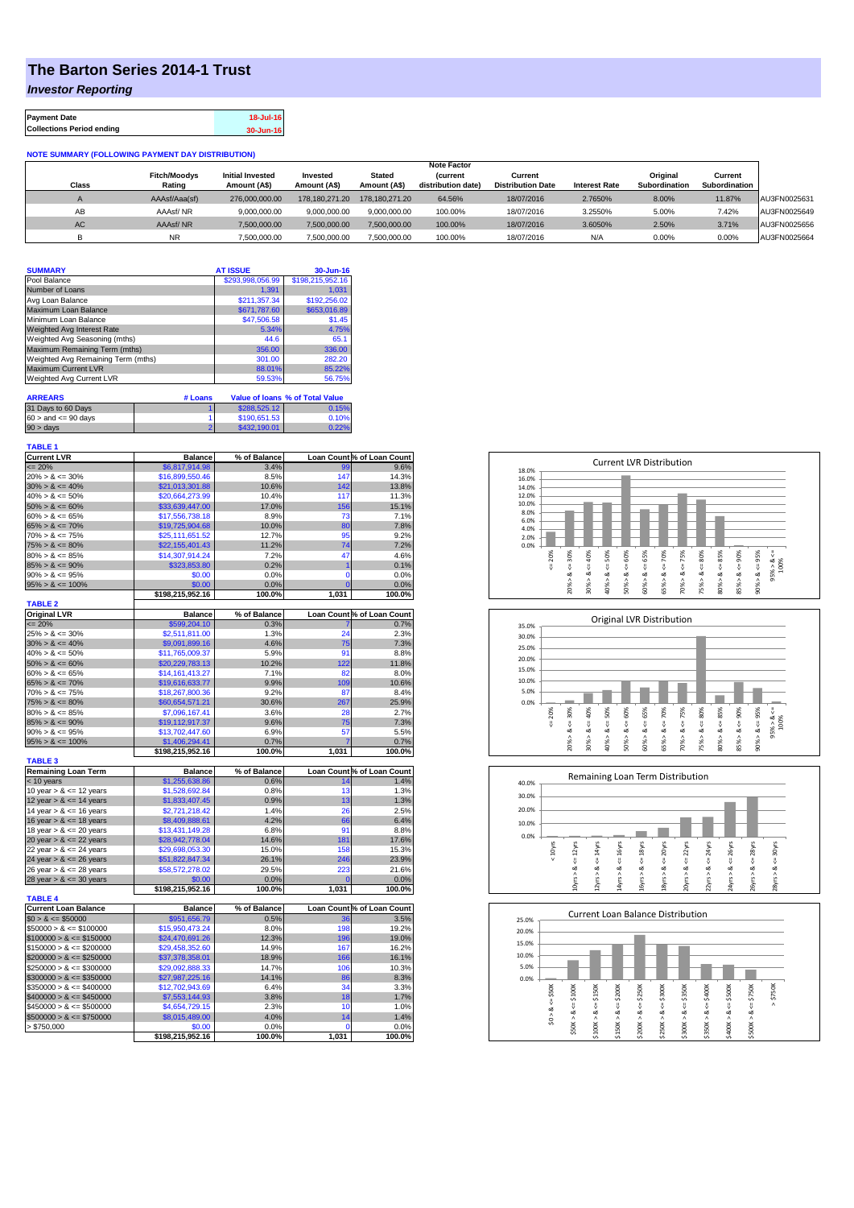## **The Barton Series 2014-1 Trust**

*Investor Reporting*

| <b>Payment Date</b>              | 18-Jul-16 |
|----------------------------------|-----------|
| <b>Collections Period ending</b> | 30-Jun-16 |

## **NOTE SUMMARY (FOLLOWING PAYMENT DAY DISTRIBUTION)**

|              |                     |                         |                |                | <b>Note Factor</b> |                          |                      |               |               |              |
|--------------|---------------------|-------------------------|----------------|----------------|--------------------|--------------------------|----------------------|---------------|---------------|--------------|
|              | <b>Fitch/Moodys</b> | <b>Initial Invested</b> | Invested       | Stated         | <b>Current</b>     | Current                  |                      | Original      | Current       |              |
| <b>Class</b> | Rating              | Amount (A\$)            | Amount (A\$)   | Amount (A\$)   | distribution date) | <b>Distribution Date</b> | <b>Interest Rate</b> | Subordination | Subordination |              |
|              | AAAsf/Aaa(sf)       | 276,000,000,00          | 178.180.271.20 | 178.180.271.20 | 64.56%             | 18/07/2016               | 2.7650%              | 8.00%         | 11.87%        | AU3FN0025631 |
| AB           | AAAsf/NR            | 9,000,000.00            | 9.000.000.00   | 9.000.000.00   | 100.00%            | 18/07/2016               | 3.2550%              | 5.00%         | 7.42%         | AU3FN0025649 |
| AC.          | AAAsf/NR            | 7,500,000.00            | 7.500.000.00   | 7.500.000.00   | 100.00%            | 18/07/2016               | 3.6050%              | 2.50%         | 3.71%         | AU3FN0025656 |
|              | <b>NR</b>           | ,500,000.00             | 7.500.000.00   | 7,500,000.00   | 100.00%            | 18/07/2016               | N/A                  | 0.00%         | 0.00%         | AU3FN0025664 |

| <b>SUMMARY</b>                     |         | <b>AT ISSUE</b>  | 30-Jun-16                              |
|------------------------------------|---------|------------------|----------------------------------------|
| Pool Balance                       |         | \$293,998,056.99 | \$198,215,952.16                       |
| Number of Loans                    |         | 1.391            | 1.031                                  |
| Avg Loan Balance                   |         | \$211.357.34     | \$192,256.02                           |
| Maximum Loan Balance               |         | \$671,787.60     | \$653,016.89                           |
| Minimum Loan Balance               |         | \$47,506.58      | \$1.45                                 |
| <b>Weighted Avg Interest Rate</b>  |         | 5.34%            | 4.75%                                  |
| Weighted Avg Seasoning (mths)      |         | 44.6             | 65.1                                   |
| Maximum Remaining Term (mths)      |         | 356.00           | 336.00                                 |
| Weighted Avg Remaining Term (mths) |         | 301.00           | 282.20                                 |
| <b>Maximum Current LVR</b>         |         | 88.01%           | 85.22%                                 |
| Weighted Avg Current LVR           |         | 59.53%           | 56.75%                                 |
| <b>ARREARS</b>                     | # Loans |                  | <b>Value of loans % of Total Value</b> |

| 31 Days to 60 Days        | \$288,525.12 | 0.15%  |
|---------------------------|--------------|--------|
| $60 >$ and $\leq 90$ days | \$190,651.53 | 0.10%  |
| $90 > \text{days}$        | \$432,190,01 | $22\%$ |

| <b>TABLE 1</b>                                           |                                    |                |                         |                            |
|----------------------------------------------------------|------------------------------------|----------------|-------------------------|----------------------------|
| <b>Current LVR</b>                                       | Balance                            | % of Balance   |                         | Loan Count % of Loan Count |
| $= 20%$                                                  | \$6,817,914.98                     | 3.4%           | 99                      | 9.6%                       |
| $20\% > 8 \le 30\%$                                      | \$16,899,550.46                    | 8.5%           | 147                     | 14.3%                      |
| $30\% > 8 \le 40\%$                                      | \$21,013,301.88                    | 10.6%          | 142                     | 13.8%                      |
| $40\% > 8 \le 50\%$                                      | \$20.664.273.99                    | 10.4%          | 117                     | 11.3%                      |
| $50\% > 8 \le 60\%$                                      | \$33,639,447.00                    | 17.0%          | 156                     | 15.1%                      |
| $60\% > 8 \le 65\%$                                      | \$17,556,738.18                    | 8.9%           | 73                      | 7.1%                       |
| $65\% > 8 \le 70\%$                                      | \$19,725,904.68                    | 10.0%          | 80                      | 7.8%                       |
| $70\% > 8 \le 75\%$                                      | \$25,111,651.52                    | 12.7%          | 95                      | 9.2%                       |
| $75\% > 8 \le 80\%$                                      | \$22,155,401.43                    | 11.2%          | 74                      | 7.2%                       |
| $80\% > 8 \le 85\%$                                      | \$14,307,914.24                    | 7.2%           | 47                      | 4.6%                       |
| $85\% > 8 \le 90\%$                                      | \$323,853.80                       | 0.2%           | $\overline{\mathbf{1}}$ | 0.1%                       |
| $90\% > 8 \le 95\%$                                      | \$0.00                             | 0.0%           | 0                       | 0.0%                       |
| $95\% > 8 \le 100\%$                                     | \$0.00                             | 0.0%           | $\overline{0}$          | 0.0%                       |
|                                                          | \$198,215,952.16                   | 100.0%         | 1,031                   | 100.0%                     |
| <b>TABLE 2</b>                                           |                                    |                |                         |                            |
| <b>Original LVR</b>                                      | <b>Balance</b>                     | % of Balance   |                         | Loan Count % of Loan Count |
| $= 20%$                                                  | \$599,204.10                       | 0.3%           | 24                      | 0.7%                       |
| $25\% > 8 \le 30\%$                                      | \$2,511,811.00                     | 1.3%           |                         | 2.3%                       |
| $30\% > 8 \le 40\%$                                      | \$9,091,899.16                     | 4.6%           | 75                      | 7.3%                       |
| $40\% > 8 \le 50\%$                                      | \$11,765,009.37                    | 5.9%           | 91                      | 8.8%                       |
| $50\% > 8 \le 60\%$                                      | \$20,229,783.13                    | 10.2%          | 122                     | 11.8%                      |
| $60\% > 8 \le 65\%$                                      | \$14,161,413.27                    | 7.1%<br>9.9%   | 82<br>109               | 8.0%<br>10.6%              |
| $65\% > 8 \le 70\%$<br>$70\% > 8 \le 75\%$               | \$19,616,633.77                    | 9.2%           | 87                      | 8.4%                       |
| $75\% > 8 \le 80\%$                                      | \$18,267,800.36                    | 30.6%          | 267                     | 25.9%                      |
| $80\% > 8 \le 85\%$                                      | \$60,654,571.21<br>\$7,096,167.41  | 3.6%           | 28                      | 2.7%                       |
| $85\% > 8 \le 90\%$                                      | \$19,112,917.37                    | 9.6%           | 75                      | 7.3%                       |
| $90\% > 8 \le 95\%$                                      | \$13,702,447.60                    | 6.9%           | 57                      | 5.5%                       |
| $95\% > 8 \le 100\%$                                     | \$1,406,294.41                     | 0.7%           | 7                       | 0.7%                       |
|                                                          | \$198,215,952.16                   | 100.0%         | 1,031                   | 100.0%                     |
| <b>TABLE 3</b>                                           |                                    |                |                         |                            |
| <b>Remaining Loan Term</b>                               | <b>Balance</b>                     | % of Balance   |                         | Loan Count % of Loan Count |
| $<$ 10 years                                             | \$1,255,638.86                     | 0.6%           | 14                      | 1.4%                       |
| 10 year $> 8 \le 12$ years                               | \$1,528,692.84                     | 0.8%           | 13                      | 1.3%                       |
| 12 year $> 8 \le 14$ years                               | \$1,833,407.45                     | 0.9%           | 13                      | 1.3%                       |
| 14 year $> 8 \le 16$ years                               | \$2,721,218.42                     | 1.4%           | 26                      | 2.5%                       |
| 16 year $> 8 \le 18$ years                               | \$8,409,888.61                     | 4.2%           | 66                      | 6.4%                       |
| 18 year $> 8 \le 20$ years                               | \$13,431,149.28                    | 6.8%           | 91                      | 8.8%                       |
| 20 year $> 8 \le 22$ years                               | \$28,942,778.04                    | 14.6%          | 181                     | 17.6%                      |
| 22 year $> 8 \le 24$ years                               | \$29,698,053.30                    | 15.0%          | 158                     | 15.3%                      |
| 24 year $> 8 \le 26$ years                               | \$51,822,847.34                    | 26.1%          | 246                     | 23.9%                      |
| 26 year $> 8 \le 28$ years                               | \$58,572,278.02                    | 29.5%          | 223                     | 21.6%                      |
| 28 year $> 8 \le 30$ years                               | \$0.00                             | 0.0%           | Ō                       | 0.0%                       |
|                                                          | \$198,215,952.16                   | 100.0%         | 1,031                   | 100.0%                     |
| <b>TABLE 4</b>                                           |                                    |                |                         |                            |
| <b>Current Loan Balance</b>                              | <b>Balance</b>                     | % of Balance   |                         | Loan Count % of Loan Count |
| $$0 > 8 \le $50000$                                      | \$951,656.79                       | 0.5%           | 36                      | 3.5%                       |
| $$50000 > 8 \le $100000$                                 | \$15,950,473.24                    | 8.0%           | 198                     | 19.2%                      |
| $$100000 > 8 \leq $150000$                               | \$24,470,691.26                    | 12.3%          | 196                     | 19.0%                      |
| $$150000 > 8 \leq $200000$<br>$$200000 > 8 \leq $250000$ | \$29,458,352.60                    | 14.9%<br>18.9% | 167<br>166              | 16.2%                      |
|                                                          | \$37,378,358.01                    |                |                         | 16.1%                      |
| $$250000 > 8 \leq $300000$                               | \$29,092,888.33                    | 14.7%<br>14.1% | 106<br>86               | 10.3%<br>8.3%              |
| $$300000 > 8 \leq $350000$<br>$$350000 > 8 \leq $400000$ | \$27,987,225.16<br>\$12,702,943.69 | 6.4%           | 34                      | 3.3%                       |
| $$400000 > 8 \leq $450000$                               | \$7,553,144.93                     | 3.8%           | 18                      | 1.7%                       |
| $$450000 > 8 \le $500000$                                | \$4,654,729.15                     | 2.3%           | 10                      | 1.0%                       |
| $$500000 > 8 \leq $750000$                               | \$8,015,489.00                     | 4.0%           | 14                      | 1.4%                       |
| > \$750,000                                              | \$0.00                             | 0.0%           | $\mathbf 0$             | 0.0%                       |
|                                                          | \$198,215,952.16                   | 100.0%         | 1,031                   | 100.0%                     |
|                                                          |                                    |                |                         |                            |